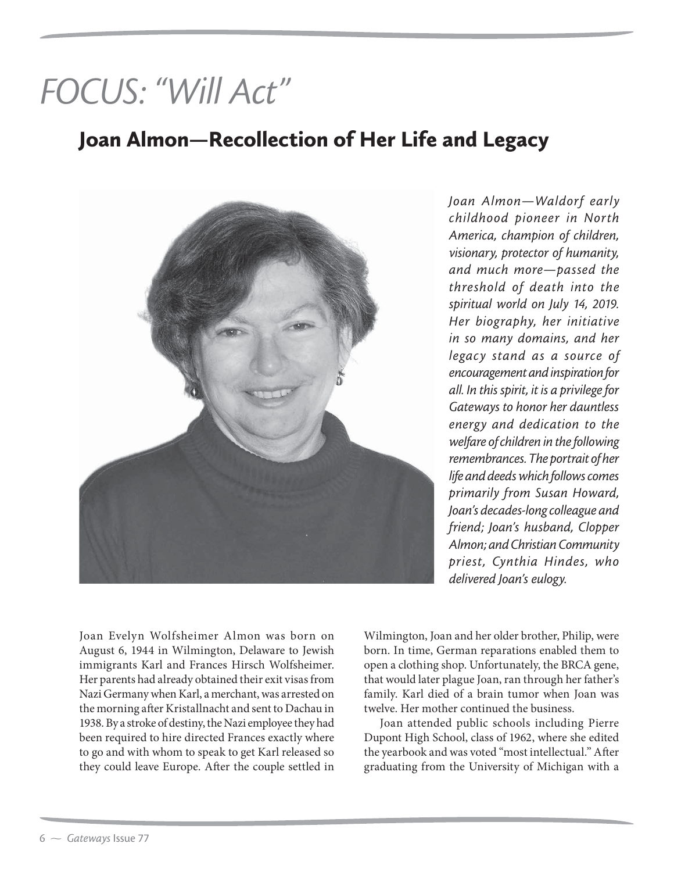## *FOCUS: "Will Act"*

## Joan Almon—Recollection of Her Life and Legacy



*Joan Almon—Waldorf early childhood pioneer in North America, champion of children, visionary, protector of humanity, and much more—passed the threshold of death into the spiritual world on July 14, 2019. Her biography, her initiative in so many domains, and her legacy stand as a source of encouragement and inspiration for all. In this spirit, it is a privilege for Gateways to honor her dauntless energy and dedication to the welfare of children in the following remembrances. The portrait of her life and deeds which follows comes primarily from Susan Howard, Joan's decades-long colleague and friend; Joan's husband, Clopper Almon; and Christian Community priest, Cynthia Hindes, who delivered Joan's eulogy.*

Joan Evelyn Wolfsheimer Almon was born on August 6, 1944 in Wilmington, Delaware to Jewish immigrants Karl and Frances Hirsch Wolfsheimer. Her parents had already obtained their exit visas from Nazi Germany when Karl, a merchant, was arrested on the morning after Kristallnacht and sent to Dachau in 1938. By a stroke of destiny, the Nazi employee they had been required to hire directed Frances exactly where to go and with whom to speak to get Karl released so they could leave Europe. After the couple settled in

Wilmington, Joan and her older brother, Philip, were born. In time, German reparations enabled them to open a clothing shop. Unfortunately, the BRCA gene, that would later plague Joan, ran through her father's family. Karl died of a brain tumor when Joan was twelve. Her mother continued the business.

Joan attended public schools including Pierre Dupont High School, class of 1962, where she edited the yearbook and was voted "most intellectual." After graduating from the University of Michigan with a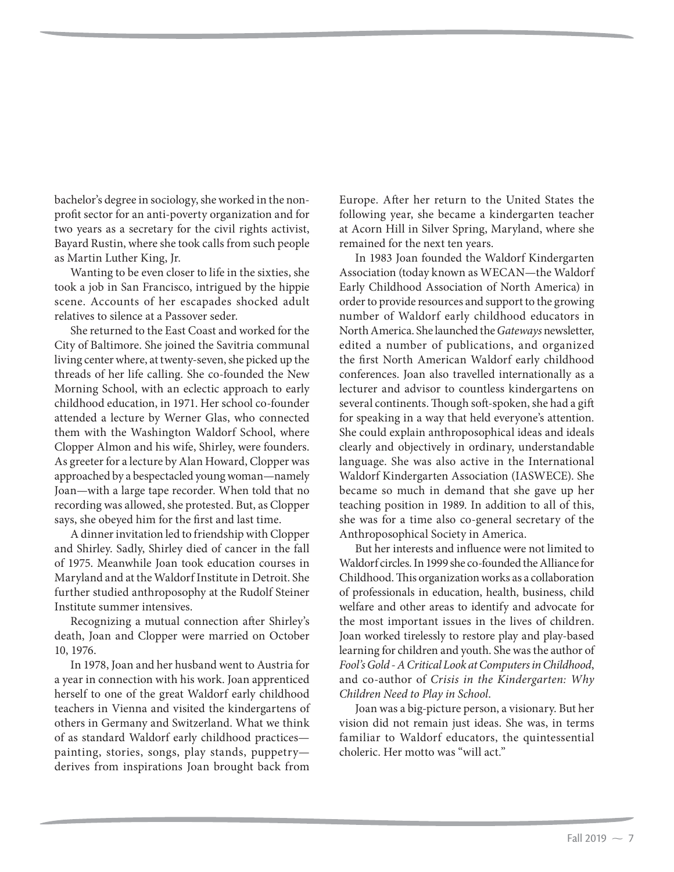bachelor's degree in sociology, she worked in the nonprofit sector for an anti-poverty organization and for two years as a secretary for the civil rights activist, Bayard Rustin, where she took calls from such people as Martin Luther King, Jr.

Wanting to be even closer to life in the sixties, she took a job in San Francisco, intrigued by the hippie scene. Accounts of her escapades shocked adult relatives to silence at a Passover seder.

She returned to the East Coast and worked for the City of Baltimore. She joined the Savitria communal living center where, at twenty-seven, she picked up the threads of her life calling. She co-founded the New Morning School, with an eclectic approach to early childhood education, in 1971. Her school co-founder attended a lecture by Werner Glas, who connected them with the Washington Waldorf School, where Clopper Almon and his wife, Shirley, were founders. As greeter for a lecture by Alan Howard, Clopper was approached by a bespectacled young woman—namely Joan—with a large tape recorder. When told that no recording was allowed, she protested. But, as Clopper says, she obeyed him for the first and last time.

A dinner invitation led to friendship with Clopper and Shirley. Sadly, Shirley died of cancer in the fall of 1975. Meanwhile Joan took education courses in Maryland and at the Waldorf Institute in Detroit. She further studied anthroposophy at the Rudolf Steiner Institute summer intensives.

Recognizing a mutual connection after Shirley's death, Joan and Clopper were married on October 10, 1976.

In 1978, Joan and her husband went to Austria for a year in connection with his work. Joan apprenticed herself to one of the great Waldorf early childhood teachers in Vienna and visited the kindergartens of others in Germany and Switzerland. What we think of as standard Waldorf early childhood practices painting, stories, songs, play stands, puppetry derives from inspirations Joan brought back from Europe. After her return to the United States the following year, she became a kindergarten teacher at Acorn Hill in Silver Spring, Maryland, where she remained for the next ten years.

In 1983 Joan founded the Waldorf Kindergarten Association (today known as WECAN—the Waldorf Early Childhood Association of North America) in order to provide resources and support to the growing number of Waldorf early childhood educators in North America. She launched the *Gateways* newsletter, edited a number of publications, and organized the first North American Waldorf early childhood conferences. Joan also travelled internationally as a lecturer and advisor to countless kindergartens on several continents. Though soft-spoken, she had a gift for speaking in a way that held everyone's attention. She could explain anthroposophical ideas and ideals clearly and objectively in ordinary, understandable language. She was also active in the International Waldorf Kindergarten Association (IASWECE). She became so much in demand that she gave up her teaching position in 1989. In addition to all of this, she was for a time also co-general secretary of the Anthroposophical Society in America.

But her interests and influence were not limited to Waldorf circles. In 1999 she co-founded the Alliance for Childhood. This organization works as a collaboration of professionals in education, health, business, child welfare and other areas to identify and advocate for the most important issues in the lives of children. Joan worked tirelessly to restore play and play-based learning for children and youth. She was the author of *Fool's Gold - A Critical Look at Computers in Childhood*, and co-author of *Crisis in the Kindergarten: Why Children Need to Play in School*.

Joan was a big-picture person, a visionary. But her vision did not remain just ideas. She was, in terms familiar to Waldorf educators, the quintessential choleric. Her motto was "will act."